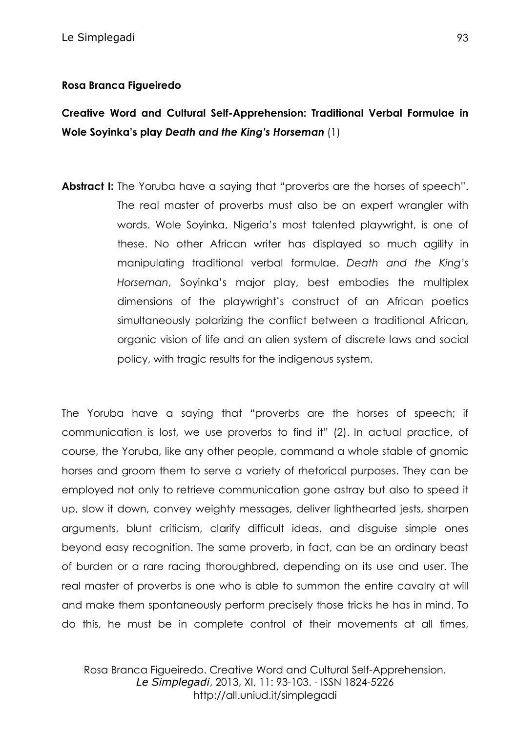## **Rosa Branca Figueiredo**

**Creative Word and Cultural Self-Apprehension: Traditional Verbal Formulae in Wole Soyinka's play** *Death and the King's Horseman* (1)

**Abstract I:** The Yoruba have a saying that "proverbs are the horses of speech". The real master of proverbs must also be an expert wrangler with words. Wole Soyinka, Nigeria's most talented playwright, is one of these. No other African writer has displayed so much agility in manipulating traditional verbal formulae. *Death and the King's Horseman*, Soyinka's major play, best embodies the multiplex dimensions of the playwright's construct of an African poetics simultaneously polarizing the conflict between a traditional African, organic vision of life and an alien system of discrete laws and social policy, with tragic results for the indigenous system.

The Yoruba have a saying that "proverbs are the horses of speech; if communication is lost, we use proverbs to find it" (2). In actual practice, of course, the Yoruba, like any other people, command a whole stable of gnomic horses and groom them to serve a variety of rhetorical purposes. They can be employed not only to retrieve communication gone astray but also to speed it up, slow it down, convey weighty messages, deliver lighthearted jests, sharpen arguments, blunt criticism, clarify difficult ideas, and disguise simple ones beyond easy recognition. The same proverb, in fact, can be an ordinary beast of burden or a rare racing thoroughbred, depending on its use and user. The real master of proverbs is one who is able to summon the entire cavalry at will and make them spontaneously perform precisely those tricks he has in mind. To do this, he must be in complete control of their movements at all times,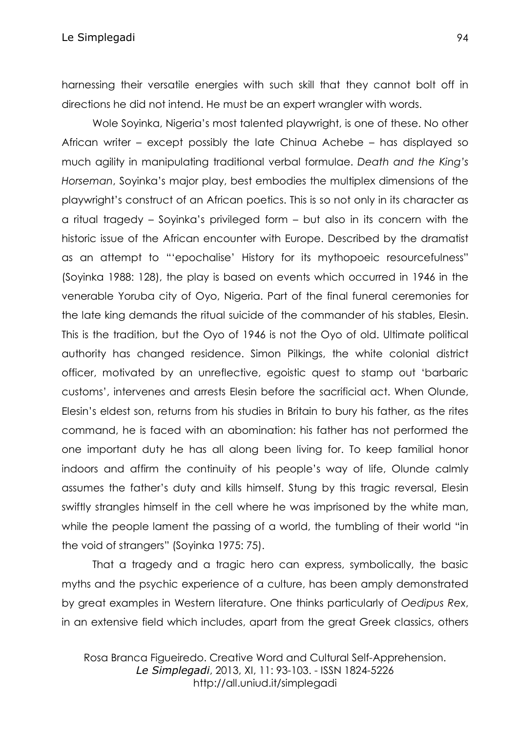Le Simplegadi 94

harnessing their versatile energies with such skill that they cannot bolt off in directions he did not intend. He must be an expert wrangler with words.

Wole Soyinka, Nigeria's most talented playwright, is one of these. No other African writer – except possibly the late Chinua Achebe – has displayed so much agility in manipulating traditional verbal formulae. *Death and the King's Horseman*, Soyinka's major play, best embodies the multiplex dimensions of the playwright's construct of an African poetics. This is so not only in its character as a ritual tragedy – Soyinka's privileged form – but also in its concern with the historic issue of the African encounter with Europe. Described by the dramatist as an attempt to "'epochalise' History for its mythopoeic resourcefulness" (Soyinka 1988: 128), the play is based on events which occurred in 1946 in the venerable Yoruba city of Oyo, Nigeria. Part of the final funeral ceremonies for the late king demands the ritual suicide of the commander of his stables, Elesin. This is the tradition, but the Oyo of 1946 is not the Oyo of old. Ultimate political authority has changed residence. Simon Pilkings, the white colonial district officer, motivated by an unreflective, egoistic quest to stamp out 'barbaric customs', intervenes and arrests Elesin before the sacrificial act. When Olunde, Elesin's eldest son, returns from his studies in Britain to bury his father, as the rites command, he is faced with an abomination: his father has not performed the one important duty he has all along been living for. To keep familial honor indoors and affirm the continuity of his people's way of life, Olunde calmly assumes the father's duty and kills himself. Stung by this tragic reversal, Elesin swiftly strangles himself in the cell where he was imprisoned by the white man, while the people lament the passing of a world, the tumbling of their world "in the void of strangers" (Soyinka 1975: 75).

That a tragedy and a tragic hero can express, symbolically, the basic myths and the psychic experience of a culture, has been amply demonstrated by great examples in Western literature. One thinks particularly of *Oedipus Rex*, in an extensive field which includes, apart from the great Greek classics, others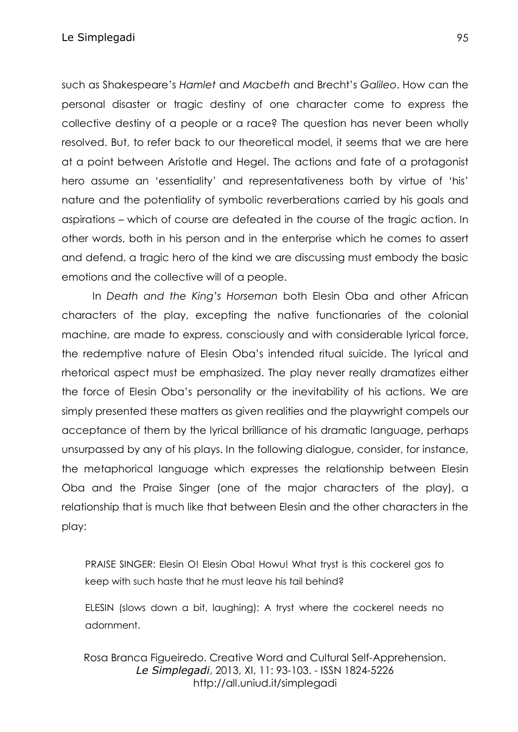such as Shakespeare's *Hamlet* and *Macbeth* and Brecht's *Galileo*. How can the personal disaster or tragic destiny of one character come to express the collective destiny of a people or a race? The question has never been wholly resolved. But, to refer back to our theoretical model, it seems that we are here at a point between Aristotle and Hegel. The actions and fate of a protagonist hero assume an 'essentiality' and representativeness both by virtue of 'his' nature and the potentiality of symbolic reverberations carried by his goals and aspirations – which of course are defeated in the course of the tragic action. In other words, both in his person and in the enterprise which he comes to assert and defend, a tragic hero of the kind we are discussing must embody the basic emotions and the collective will of a people.

In *Death and the King's Horseman* both Elesin Oba and other African characters of the play, excepting the native functionaries of the colonial machine, are made to express, consciously and with considerable lyrical force, the redemptive nature of Elesin Oba's intended ritual suicide. The lyrical and rhetorical aspect must be emphasized. The play never really dramatizes either the force of Elesin Oba's personality or the inevitability of his actions. We are simply presented these matters as given realities and the playwright compels our acceptance of them by the lyrical brilliance of his dramatic language, perhaps unsurpassed by any of his plays. In the following dialogue, consider, for instance, the metaphorical language which expresses the relationship between Elesin Oba and the Praise Singer (one of the major characters of the play), a relationship that is much like that between Elesin and the other characters in the play:

PRAISE SINGER: Elesin O! Elesin Oba! Howu! What tryst is this cockerel gos to keep with such haste that he must leave his tail behind?

ELESIN (slows down a bit, laughing): A tryst where the cockerel needs no adornment.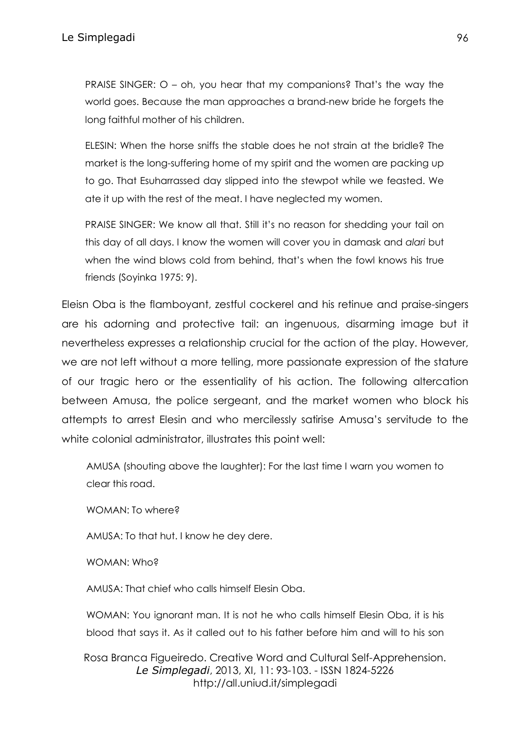PRAISE SINGER: O – oh, you hear that my companions? That's the way the world goes. Because the man approaches a brand-new bride he forgets the long faithful mother of his children.

ELESIN: When the horse sniffs the stable does he not strain at the bridle? The market is the long-suffering home of my spirit and the women are packing up to go. That Esuharrassed day slipped into the stewpot while we feasted. We ate it up with the rest of the meat. I have neglected my women.

PRAISE SINGER: We know all that. Still it's no reason for shedding your tail on this day of all days. I know the women will cover you in damask and *alari* but when the wind blows cold from behind, that's when the fowl knows his true friends (Soyinka 1975: 9).

Eleisn Oba is the flamboyant, zestful cockerel and his retinue and praise-singers are his adorning and protective tail: an ingenuous, disarming image but it nevertheless expresses a relationship crucial for the action of the play. However, we are not left without a more telling, more passionate expression of the stature of our tragic hero or the essentiality of his action. The following altercation between Amusa, the police sergeant, and the market women who block his attempts to arrest Elesin and who mercilessly satirise Amusa's servitude to the white colonial administrator, illustrates this point well:

AMUSA (shouting above the laughter): For the last time I warn you women to clear this road.

WOMAN: To where?

AMUSA: To that hut. I know he dey dere.

WOMAN: Who?

AMUSA: That chief who calls himself Elesin Oba.

WOMAN: You ignorant man. It is not he who calls himself Elesin Oba, it is his blood that says it. As it called out to his father before him and will to his son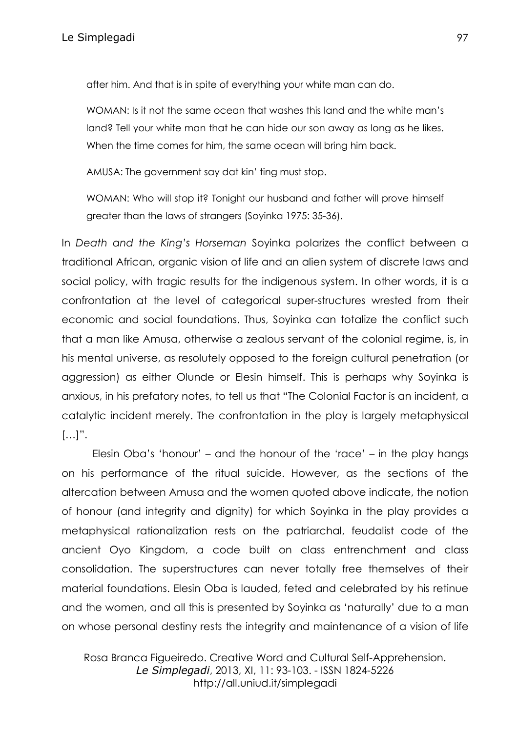after him. And that is in spite of everything your white man can do.

WOMAN: Is it not the same ocean that washes this land and the white man's land? Tell your white man that he can hide our son away as long as he likes. When the time comes for him, the same ocean will bring him back.

AMUSA: The government say dat kin' ting must stop.

WOMAN: Who will stop it? Tonight our husband and father will prove himself greater than the laws of strangers (Soyinka 1975: 35-36).

In *Death and the King's Horseman* Soyinka polarizes the conflict between a traditional African, organic vision of life and an alien system of discrete laws and social policy, with tragic results for the indigenous system. In other words, it is a confrontation at the level of categorical super-structures wrested from their economic and social foundations. Thus, Soyinka can totalize the conflict such that a man like Amusa, otherwise a zealous servant of the colonial regime, is, in his mental universe, as resolutely opposed to the foreign cultural penetration (or aggression) as either Olunde or Elesin himself. This is perhaps why Soyinka is anxious, in his prefatory notes, to tell us that "The Colonial Factor is an incident, a catalytic incident merely. The confrontation in the play is largely metaphysical […]".

Elesin Oba's 'honour' – and the honour of the 'race' – in the play hangs on his performance of the ritual suicide. However, as the sections of the altercation between Amusa and the women quoted above indicate, the notion of honour (and integrity and dignity) for which Soyinka in the play provides a metaphysical rationalization rests on the patriarchal, feudalist code of the ancient Oyo Kingdom, a code built on class entrenchment and class consolidation. The superstructures can never totally free themselves of their material foundations. Elesin Oba is lauded, feted and celebrated by his retinue and the women, and all this is presented by Soyinka as 'naturally' due to a man on whose personal destiny rests the integrity and maintenance of a vision of life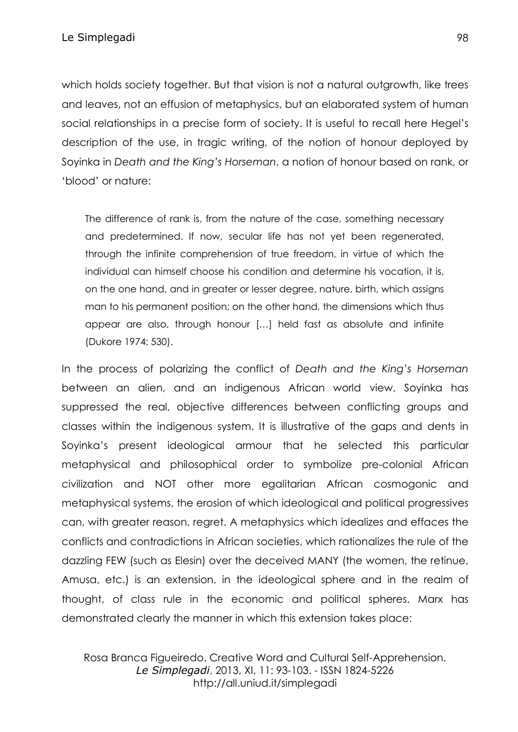which holds society together. But that vision is not a natural outgrowth, like trees and leaves, not an effusion of metaphysics, but an elaborated system of human social relationships in a precise form of society. It is useful to recall here Hegel's description of the use, in tragic writing, of the notion of honour deployed by Soyinka in *Death and the King's Horseman*, a notion of honour based on rank, or 'blood' or nature:

The difference of rank is, from the nature of the case, something necessary and predetermined. If now, secular life has not yet been regenerated, through the infinite comprehension of true freedom, in virtue of which the individual can himself choose his condition and determine his vocation, it is, on the one hand, and in greater or lesser degree, nature, birth, which assigns man to his permanent position; on the other hand, the dimensions which thus appear are also, through honour […] held fast as absolute and infinite (Dukore 1974: 530).

In the process of polarizing the conflict of *Death and the King's Horseman*  between an alien, and an indigenous African world view, Soyinka has suppressed the real, objective differences between conflicting groups and classes within the indigenous system. It is illustrative of the gaps and dents in Soyinka's present ideological armour that he selected this particular metaphysical and philosophical order to symbolize pre-colonial African civilization and NOT other more egalitarian African cosmogonic and metaphysical systems, the erosion of which ideological and political progressives can, with greater reason, regret. A metaphysics which idealizes and effaces the conflicts and contradictions in African societies, which rationalizes the rule of the dazzling FEW (such as Elesin) over the deceived MANY (the women, the retinue, Amusa, etc.) is an extension, in the ideological sphere and in the realm of thought, of class rule in the economic and political spheres. Marx has demonstrated clearly the manner in which this extension takes place: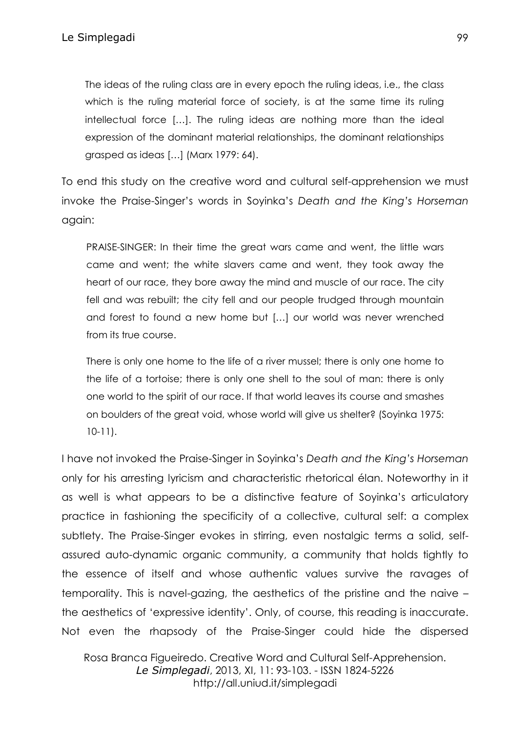The ideas of the ruling class are in every epoch the ruling ideas, i.e., the class which is the ruling material force of society, is at the same time its ruling intellectual force […]. The ruling ideas are nothing more than the ideal expression of the dominant material relationships, the dominant relationships grasped as ideas […] (Marx 1979: 64).

To end this study on the creative word and cultural self-apprehension we must invoke the Praise-Singer's words in Soyinka's *Death and the King's Horseman* again:

PRAISE-SINGER: In their time the great wars came and went, the little wars came and went; the white slavers came and went, they took away the heart of our race, they bore away the mind and muscle of our race. The city fell and was rebuilt; the city fell and our people trudged through mountain and forest to found a new home but […] our world was never wrenched from its true course.

There is only one home to the life of a river mussel; there is only one home to the life of a tortoise; there is only one shell to the soul of man: there is only one world to the spirit of our race. If that world leaves its course and smashes on boulders of the great void, whose world will give us shelter? (Soyinka 1975: 10-11).

I have not invoked the Praise-Singer in Soyinka's *Death and the King's Horseman* only for his arresting lyricism and characteristic rhetorical élan. Noteworthy in it as well is what appears to be a distinctive feature of Soyinka's articulatory practice in fashioning the specificity of a collective, cultural self: a complex subtlety. The Praise-Singer evokes in stirring, even nostalgic terms a solid, selfassured auto-dynamic organic community, a community that holds tightly to the essence of itself and whose authentic values survive the ravages of temporality. This is navel-gazing, the aesthetics of the pristine and the naive – the aesthetics of 'expressive identity'. Only, of course, this reading is inaccurate. Not even the rhapsody of the Praise-Singer could hide the dispersed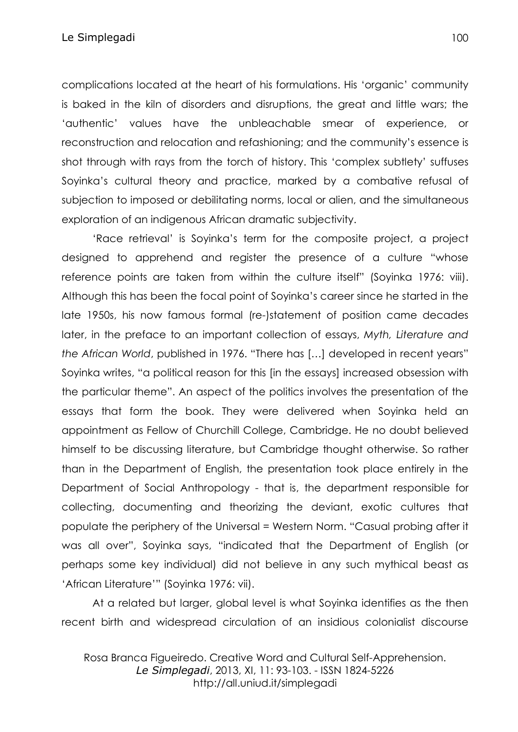complications located at the heart of his formulations. His 'organic' community is baked in the kiln of disorders and disruptions, the great and little wars; the 'authentic' values have the unbleachable smear of experience, or reconstruction and relocation and refashioning; and the community's essence is shot through with rays from the torch of history. This 'complex subtlety' suffuses Soyinka's cultural theory and practice, marked by a combative refusal of subjection to imposed or debilitating norms, local or alien, and the simultaneous exploration of an indigenous African dramatic subjectivity.

'Race retrieval' is Soyinka's term for the composite project, a project designed to apprehend and register the presence of a culture "whose reference points are taken from within the culture itself" (Soyinka 1976: viii). Although this has been the focal point of Soyinka's career since he started in the late 1950s, his now famous formal (re-)statement of position came decades later, in the preface to an important collection of essays, *Myth, Literature and the African World*, published in 1976. "There has […] developed in recent years" Soyinka writes, "a political reason for this [in the essays] increased obsession with the particular theme". An aspect of the politics involves the presentation of the essays that form the book. They were delivered when Soyinka held an appointment as Fellow of Churchill College, Cambridge. He no doubt believed himself to be discussing literature, but Cambridge thought otherwise. So rather than in the Department of English, the presentation took place entirely in the Department of Social Anthropology - that is, the department responsible for collecting, documenting and theorizing the deviant, exotic cultures that populate the periphery of the Universal = Western Norm. "Casual probing after it was all over", Soyinka says, "indicated that the Department of English (or perhaps some key individual) did not believe in any such mythical beast as 'African Literature'" (Soyinka 1976: vii).

At a related but larger, global level is what Soyinka identifies as the then recent birth and widespread circulation of an insidious colonialist discourse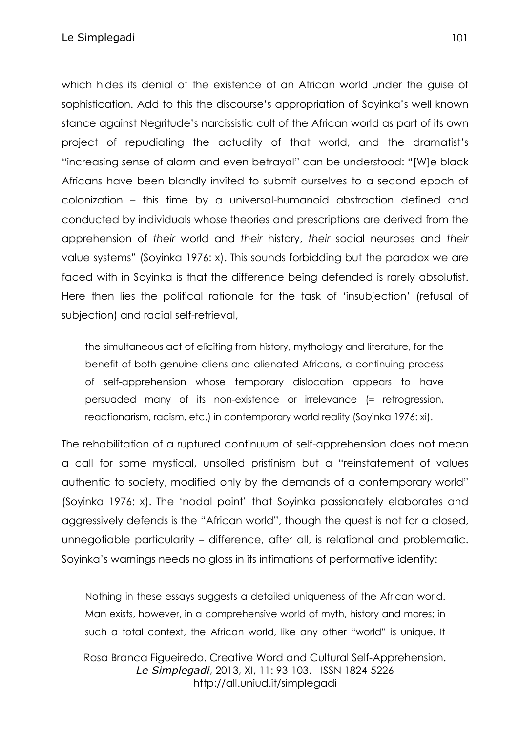which hides its denial of the existence of an African world under the guise of sophistication. Add to this the discourse's appropriation of Soyinka's well known stance against Negritude's narcissistic cult of the African world as part of its own project of repudiating the actuality of that world, and the dramatist's "increasing sense of alarm and even betrayal" can be understood: "[W]e black Africans have been blandly invited to submit ourselves to a second epoch of colonization – this time by a universal-humanoid abstraction defined and conducted by individuals whose theories and prescriptions are derived from the apprehension of *their* world and *their* history, *their* social neuroses and *their* value systems" (Soyinka 1976: x). This sounds forbidding but the paradox we are faced with in Soyinka is that the difference being defended is rarely absolutist. Here then lies the political rationale for the task of 'insubjection' (refusal of subjection) and racial self-retrieval,

the simultaneous act of eliciting from history, mythology and literature, for the benefit of both genuine aliens and alienated Africans, a continuing process of self-apprehension whose temporary dislocation appears to have persuaded many of its non-existence or irrelevance (= retrogression, reactionarism, racism, etc.) in contemporary world reality (Soyinka 1976: xi).

The rehabilitation of a ruptured continuum of self-apprehension does not mean a call for some mystical, unsoiled pristinism but a "reinstatement of values authentic to society, modified only by the demands of a contemporary world" (Soyinka 1976: x). The 'nodal point' that Soyinka passionately elaborates and aggressively defends is the "African world", though the quest is not for a closed, unnegotiable particularity – difference, after all, is relational and problematic. Soyinka's warnings needs no gloss in its intimations of performative identity:

Nothing in these essays suggests a detailed uniqueness of the African world. Man exists, however, in a comprehensive world of myth, history and mores; in such a total context, the African world, like any other "world" is unique. It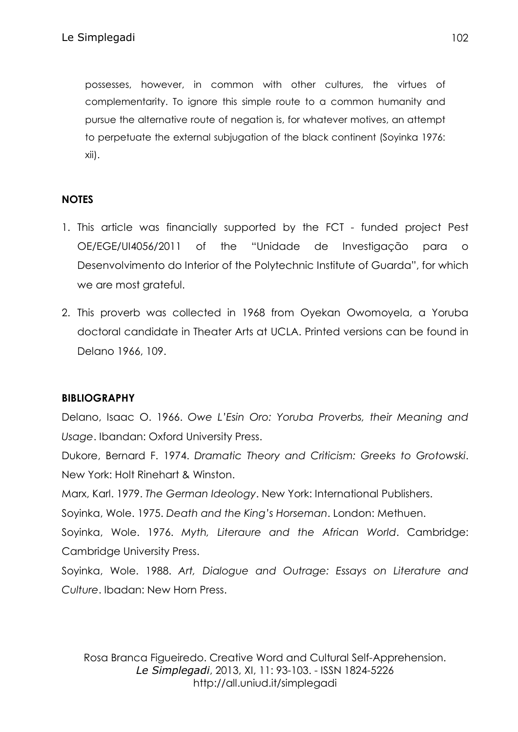possesses, however, in common with other cultures, the virtues of complementarity. To ignore this simple route to a common humanity and pursue the alternative route of negation is, for whatever motives, an attempt to perpetuate the external subjugation of the black continent (Soyinka 1976: xii).

## **NOTES**

- 1. This article was financially supported by the FCT funded project Pest OE/EGE/UI4056/2011 of the "Unidade de Investigação para o Desenvolvimento do Interior of the Polytechnic Institute of Guarda", for which we are most grateful.
- 2. This proverb was collected in 1968 from Oyekan Owomoyela, a Yoruba doctoral candidate in Theater Arts at UCLA. Printed versions can be found in Delano 1966, 109.

## **BIBLIOGRAPHY**

Delano, Isaac O. 1966. *Owe L'Esin Oro: Yoruba Proverbs, their Meaning and Usage*. Ibandan: Oxford University Press.

Dukore, Bernard F. 1974. *Dramatic Theory and Criticism: Greeks to Grotowski*. New York: Holt Rinehart & Winston.

Marx, Karl. 1979. *The German Ideology*. New York: International Publishers.

Soyinka, Wole. 1975. *Death and the King's Horseman*. London: Methuen.

Soyinka, Wole. 1976. *Myth, Literaure and the African World*. Cambridge: Cambridge University Press.

Soyinka, Wole. 1988. *Art, Dialogue and Outrage: Essays on Literature and Culture*. Ibadan: New Horn Press.